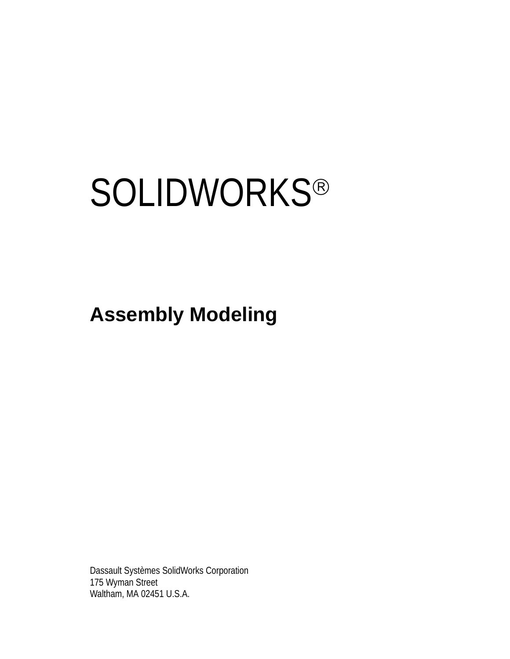# **SOLIDWORKS®**

**Assembly Modeling**

Dassault Systèmes SolidWorks Corporation 175 Wyman Street Waltham, MA 02451 U.S.A.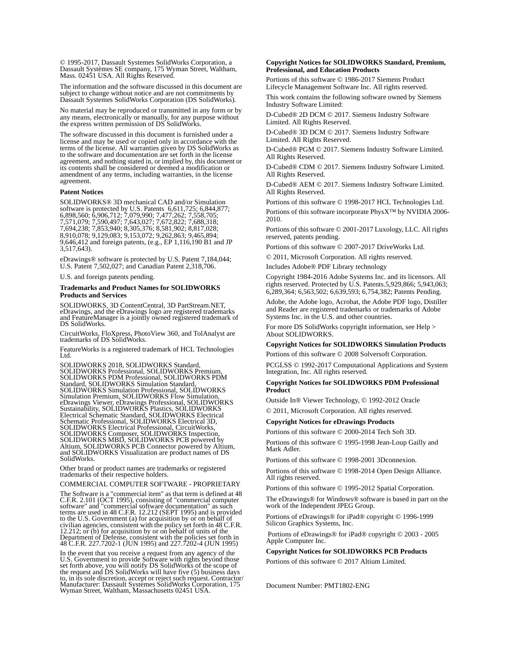© 1995-2017, Dassault Systemes SolidWorks Corporation, a Dassault Systèmes SE company, 175 Wyman Street, Waltham, Mass. 02451 USA. All Rights Reserved.

The information and the software discussed in this document are subject to change without notice and are not commitments by Dassault Systemes SolidWorks Corporation (DS SolidWorks).

No material may be reproduced or transmitted in any form or by any means, electronically or manually, for any purpose without the express written permission of DS SolidWorks.

The software discussed in this document is furnished under a license and may be used or copied only in accordance with the terms of the license. All warranties given by DS SolidWorks as to the software and documentation are set forth in the license agreement, and nothing stated in, or implied by, this document or its contents shall be considered or deemed a modification or amendment of any terms, including warranties, in the license agreement.

#### **Patent Notices**

SOLIDWORKS® 3D mechanical CAD and/or Simulation software is protected by U.S. Patents 6,611,725; 6,844,877; 6,898,560; 6,906,712; 7,079,990; 7,477,262; 7,558,705; 7,571,079; 7,590,497; 7,643,027; 7,672,822; 7,688,318; 7,694,238; 7,853,940; 8,305,376; 8,581,902; 8,817,028; 8,910,078; 9,129,083; 9,153,072; 9,262,863; 9,465,894; 9,646,412 and foreign patents, (e.g., EP 1,116,190 B1 and JP  $3,517,643$ .

eDrawings® software is protected by U.S. Patent 7,184,044; U.S. Patent 7,502,027; and Canadian Patent 2,318,706.

U.S. and foreign patents pending.

#### **Trademarks and Product Names for SOLIDWORKS Products and Services**

SOLIDWORKS, 3D ContentCentral, 3D PartStream.NET, eDrawings, and the eDrawings logo are registered trademarks and FeatureManager is a jointly owned registered trademark of DS SolidWorks.

CircuitWorks, FloXpress, PhotoView 360, and TolAnalyst are trademarks of DS SolidWorks.

FeatureWorks is a registered trademark of HCL Technologies Ltd.

SOLIDWORKS 2018, SOLIDWORKS Standard, SOLIDWORKS Professional, SOLIDWORKS Premium, SOLIDWORKS PDM Professional, SOLIDWORKS PDM Standard, SOLIDWORKS Simulation Standard, SOLIDWORKS Simulation Professional, SOLIDWORKS<br>Simulation Premium, SOLIDWORKS Flow Simulation,<br>eDrawings Viewer, eDrawings Professional, SOLIDWORKS<br>Sustainability, SOLIDWORKS Plastics, SOLIDWORKS<br>Electrical Schematic Stand SOLIDWORKS Electrical Professional, CircuitWorks,<br>SOLIDWORKS Composer, SOLIDWORKS Inspection,<br>SOLIDWORKS MBD, SOLIDWORKS PCB powered by<br>Altium, SOLIDWORKS PCB Connector powered by Altium,<br>and SOLIDWORKS Visualization are p SolidWorks.

Other brand or product names are trademarks or registered trademarks of their respective holders.

COMMERCIAL COMPUTER SOFTWARE - PROPRIETARY

The Software is a "commercial item" as that term is defined at 48 C.F.R. 2.101 (OCT 1995), consisting of "commercial computer software" and "commercial software documentation" as such<br>terms are used in 48 C.F.R. 12.212 (SEPT 1995) and is provided<br>to the U.S. Government (a) for acquisition by or on behalf of<br>civilian agencies, consistent with the Department of Defense, consistent with the policies set forth in 48 C.F.R. 227.7202-1 (JUN 1995) and 227.7202-4 (JUN 1995)

In the event that you receive a request from any agency of the If the event that you created Software with rights beyond those<br>set forth above, you will notify DS SolidWorks of the scope of<br>the request and DS SolidWorks will have five (5) business days<br>to, in its sole discretion, acce Wyman Street, Waltham, Massachusetts 02451 USA.

## **Copyright Notices for SOLIDWORKS Standard, Premium, Professional, and Education Products**

Portions of this software © 1986-2017 Siemens Product Lifecycle Management Software Inc. All rights reserved.

This work contains the following software owned by Siemens Industry Software Limited:

D-Cubed® 2D DCM © 2017. Siemens Industry Software Limited. All Rights Reserved.

D-Cubed® 3D DCM © 2017. Siemens Industry Software Limited. All Rights Reserved.

D-Cubed® PGM © 2017. Siemens Industry Software Limited. All Rights Reserved.

D-Cubed® CDM © 2017. Siemens Industry Software Limited. All Rights Reserved.

D-Cubed® AEM © 2017. Siemens Industry Software Limited. All Rights Reserved.

Portions of this software © 1998-2017 HCL Technologies Ltd. Portions of this software incorporate PhysX™ by NVIDIA 2006- 2010.

Portions of this software © 2001-2017 Luxology, LLC. All rights reserved, patents pending.

Portions of this software © 2007-2017 DriveWorks Ltd.

© 2011, Microsoft Corporation. All rights reserved.

Includes Adobe® PDF Library technology

Copyright 1984-2016 Adobe Systems Inc. and its licensors. All rights reserved. Protected by U.S. Patents.5,929,866; 5,943,063; 6,289,364; 6,563,502; 6,639,593; 6,754,382; Patents Pending.

Adobe, the Adobe logo, Acrobat, the Adobe PDF logo, Distiller and Reader are registered trademarks or trademarks of Adobe Systems Inc. in the U.S. and other countries.

For more DS SolidWorks copyright information, see Help > About SOLIDWORKS.

### **Copyright Notices for SOLIDWORKS Simulation Products**

Portions of this software © 2008 Solversoft Corporation.

PCGLSS © 1992-2017 Computational Applications and System Integration, Inc. All rights reserved.

#### **Copyright Notices for SOLIDWORKS PDM Professional Product**

Outside In® Viewer Technology, © 1992-2012 Oracle © 2011, Microsoft Corporation. All rights reserved.

# **Copyright Notices for eDrawings Products**

Portions of this software © 2000-2014 Tech Soft 3D.

Portions of this software © 1995-1998 Jean-Loup Gailly and Mark Adler.

Portions of this software © 1998-2001 3Dconnexion.

Portions of this software © 1998-2014 Open Design Alliance. All rights reserved.

Portions of this software © 1995-2012 Spatial Corporation.

The eDrawings® for Windows® software is based in part on the work of the Independent JPEG Group.

Portions of eDrawings® for iPad® copyright © 1996-1999 Silicon Graphics Systems, Inc.

 Portions of eDrawings® for iPad® copyright © 2003 - 2005 Apple Computer Inc.

#### **Copyright Notices for SOLIDWORKS PCB Products**

Portions of this software © 2017 Altium Limited.

Document Number: PMT1802-ENG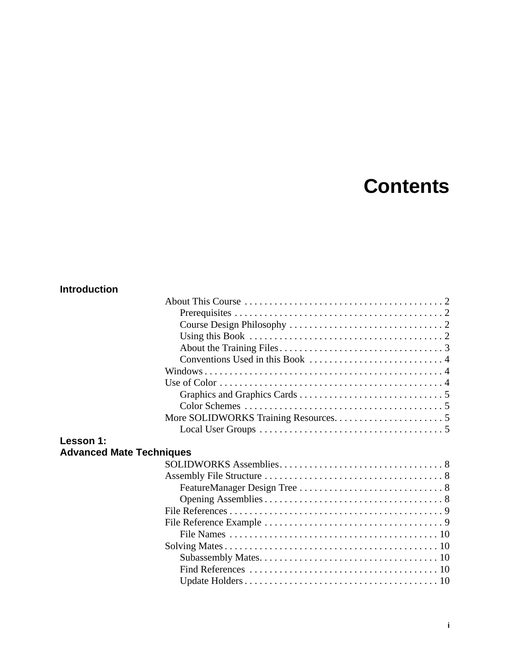# **Contents**

# **Introduction**

| Lesson 1:                       |  |
|---------------------------------|--|
|                                 |  |
| <b>Advanced Mate Techniques</b> |  |
|                                 |  |
|                                 |  |
|                                 |  |
|                                 |  |
|                                 |  |
|                                 |  |
|                                 |  |
|                                 |  |
|                                 |  |
|                                 |  |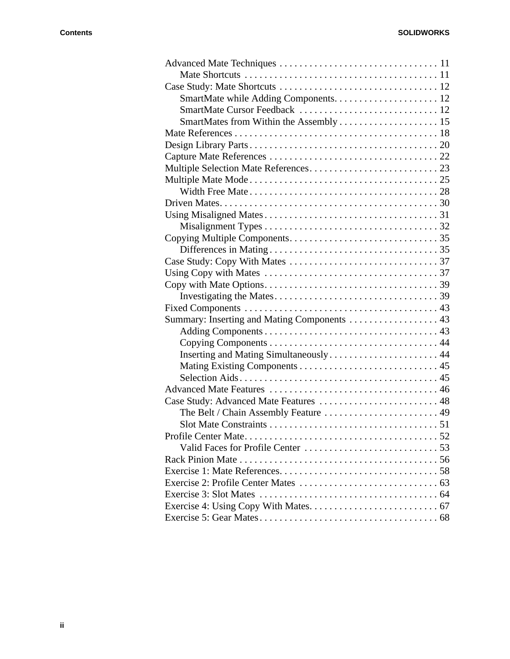| Summary: Inserting and Mating Components  43 |  |
|----------------------------------------------|--|
|                                              |  |
|                                              |  |
| Inserting and Mating Simultaneously 44       |  |
|                                              |  |
|                                              |  |
|                                              |  |
| Case Study: Advanced Mate Features  48       |  |
|                                              |  |
|                                              |  |
|                                              |  |
|                                              |  |
|                                              |  |
|                                              |  |
|                                              |  |
|                                              |  |
|                                              |  |
|                                              |  |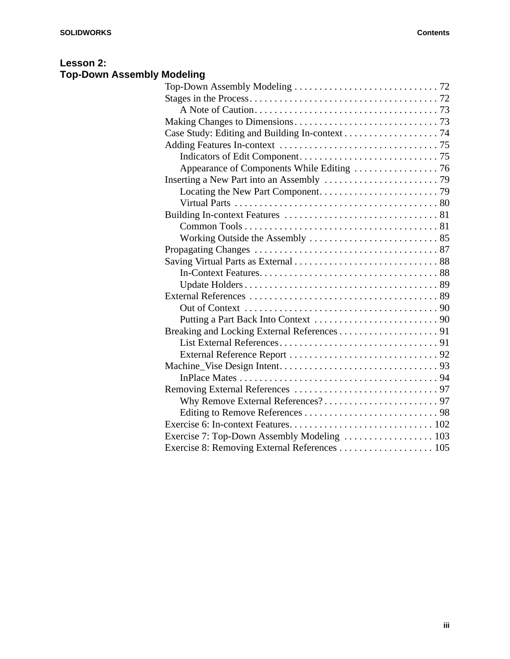# **Lesson 2: Top-Down Assembly Modeling**

| Exercise 7: Top-Down Assembly Modeling  103 |  |
|---------------------------------------------|--|
|                                             |  |
|                                             |  |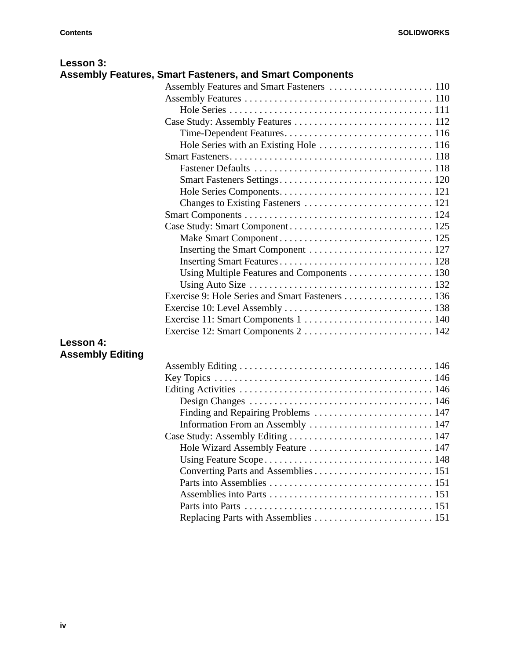| Lesson 3:               |                                                                 |  |
|-------------------------|-----------------------------------------------------------------|--|
|                         | <b>Assembly Features, Smart Fasteners, and Smart Components</b> |  |
|                         |                                                                 |  |
|                         |                                                                 |  |
|                         |                                                                 |  |
|                         |                                                                 |  |
|                         |                                                                 |  |
|                         |                                                                 |  |
|                         |                                                                 |  |
|                         |                                                                 |  |
|                         |                                                                 |  |
|                         |                                                                 |  |
|                         |                                                                 |  |
|                         |                                                                 |  |
|                         |                                                                 |  |
|                         |                                                                 |  |
|                         |                                                                 |  |
|                         |                                                                 |  |
|                         | Using Multiple Features and Components 130                      |  |
|                         |                                                                 |  |
|                         | Exercise 9: Hole Series and Smart Fasteners  136                |  |
|                         |                                                                 |  |
|                         |                                                                 |  |
|                         |                                                                 |  |
| Lesson 4:               |                                                                 |  |
| <b>Assembly Editing</b> |                                                                 |  |
|                         |                                                                 |  |
|                         |                                                                 |  |
|                         |                                                                 |  |
|                         |                                                                 |  |
|                         |                                                                 |  |
|                         |                                                                 |  |
|                         |                                                                 |  |
|                         | Hole Wizard Assembly Feature  147                               |  |
|                         |                                                                 |  |
|                         |                                                                 |  |
|                         |                                                                 |  |
|                         |                                                                 |  |
|                         |                                                                 |  |
|                         |                                                                 |  |
|                         |                                                                 |  |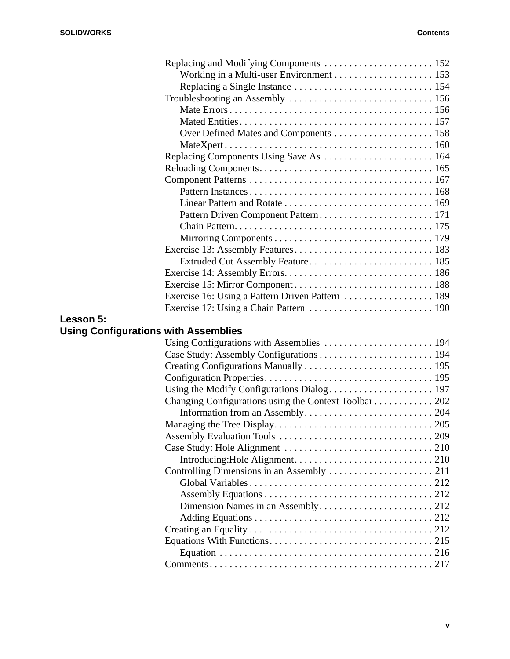|                                             | Replacing Components Using Save As  164               |  |
|---------------------------------------------|-------------------------------------------------------|--|
|                                             |                                                       |  |
|                                             |                                                       |  |
|                                             |                                                       |  |
|                                             |                                                       |  |
|                                             |                                                       |  |
|                                             |                                                       |  |
|                                             |                                                       |  |
|                                             |                                                       |  |
|                                             |                                                       |  |
|                                             |                                                       |  |
|                                             |                                                       |  |
|                                             |                                                       |  |
|                                             |                                                       |  |
| Lesson 5:                                   |                                                       |  |
| <b>Using Configurations with Assemblies</b> |                                                       |  |
|                                             |                                                       |  |
|                                             |                                                       |  |
|                                             |                                                       |  |
|                                             |                                                       |  |
|                                             |                                                       |  |
|                                             | Changing Configurations using the Context Toolbar 202 |  |
|                                             |                                                       |  |
|                                             |                                                       |  |
|                                             |                                                       |  |
|                                             |                                                       |  |
|                                             |                                                       |  |
|                                             |                                                       |  |
|                                             |                                                       |  |
|                                             |                                                       |  |
|                                             |                                                       |  |
|                                             |                                                       |  |
|                                             |                                                       |  |
|                                             |                                                       |  |
|                                             |                                                       |  |
|                                             |                                                       |  |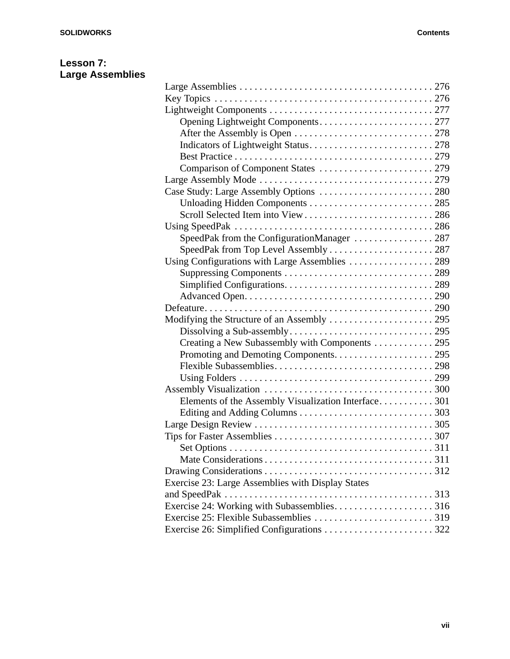# **Lesson 7: Large Assemblies**

| Opening Lightweight Components 277                  |  |
|-----------------------------------------------------|--|
|                                                     |  |
|                                                     |  |
|                                                     |  |
|                                                     |  |
|                                                     |  |
| Case Study: Large Assembly Options  280             |  |
|                                                     |  |
|                                                     |  |
|                                                     |  |
| SpeedPak from the ConfigurationManager 287          |  |
|                                                     |  |
| Using Configurations with Large Assemblies  289     |  |
|                                                     |  |
|                                                     |  |
|                                                     |  |
|                                                     |  |
|                                                     |  |
|                                                     |  |
| Creating a New Subassembly with Components  295     |  |
|                                                     |  |
|                                                     |  |
|                                                     |  |
|                                                     |  |
| Elements of the Assembly Visualization Interface301 |  |
|                                                     |  |
|                                                     |  |
|                                                     |  |
|                                                     |  |
|                                                     |  |
|                                                     |  |
| Exercise 23: Large Assemblies with Display States   |  |
|                                                     |  |
| Exercise 24: Working with Subassemblies316          |  |
|                                                     |  |
|                                                     |  |